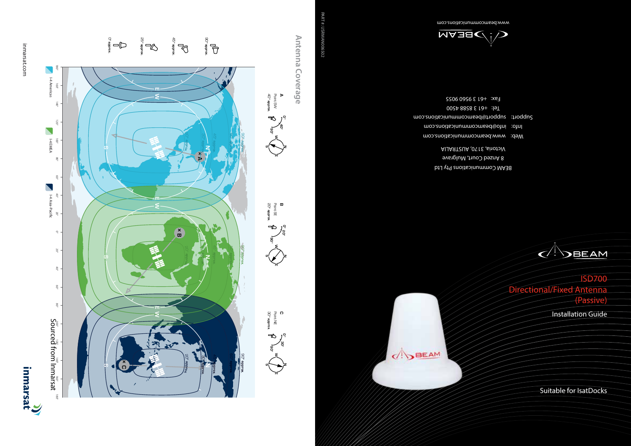## inmarsat.com inmarsat.com













**0° 40° 90°**

40 **A ° approx.** Point SW

**E W**





BEAM Communications Pty Ltd 8 Anzed Court, Mulgrave Victoria, 3170, AUSTRALIA

Web: www.beamcommunications.com Info: info@beamcommunications.com Support: support@beamcommunications.com Tel: +61 3 8588 4500 Fax: +61 3 9560 9055